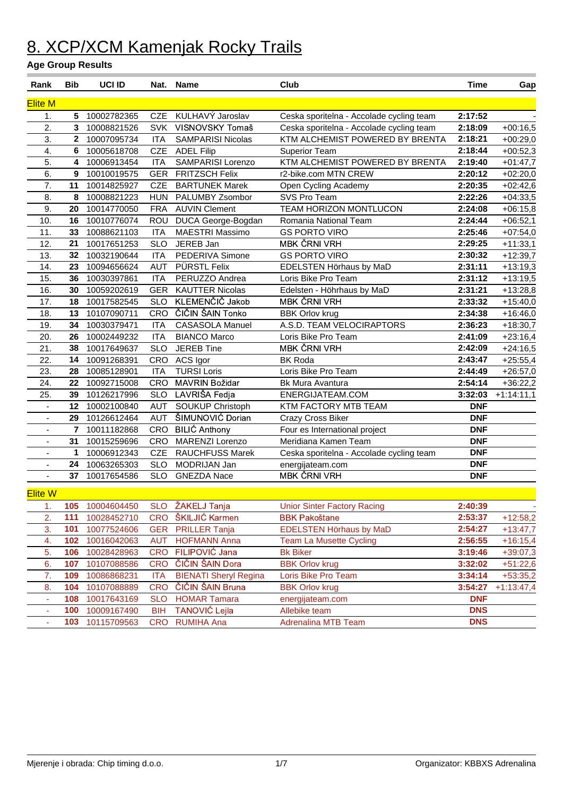| Rank                     | <b>Bib</b>     | UCI ID      |                          | Nat. Name                                   | Club                                              | <b>Time</b> | Gap          |
|--------------------------|----------------|-------------|--------------------------|---------------------------------------------|---------------------------------------------------|-------------|--------------|
| <b>Elite M</b>           |                |             |                          |                                             |                                                   |             |              |
| 1.                       | 5              | 10002782365 | <b>CZE</b>               | KULHAVÝ Jaroslav                            | Ceska sporitelna - Accolade cycling team          | 2:17:52     |              |
| $\overline{2}$ .         | 3              | 10008821526 | <b>SVK</b>               | VISNOVSKY Tomaš                             | Ceska sporitelna - Accolade cycling team          | 2:18:09     | $+00:16,5$   |
| 3.                       | $\mathbf{2}$   | 10007095734 | <b>ITA</b>               | <b>SAMPARISI Nicolas</b>                    | KTM ALCHEMIST POWERED BY BRENTA                   | 2:18:21     | $+00:29,0$   |
| $\overline{4}$ .         | 6              | 10005618708 | <b>CZE</b>               | <b>ADEL Filip</b>                           | Superior Team                                     | 2:18:44     | $+00:52,3$   |
| 5.                       | 4              | 10006913454 | <b>ITA</b>               | SAMPARISI Lorenzo                           | KTM ALCHEMIST POWERED BY BRENTA                   | 2:19:40     | $+01:47,7$   |
| 6.                       | 9              | 10010019575 | <b>GER</b>               | <b>FRITZSCH Felix</b>                       | r2-bike.com MTN CREW                              | 2:20:12     | $+02:20,0$   |
| 7.                       | 11             | 10014825927 | <b>CZE</b>               | <b>BARTUNEK Marek</b>                       | Open Cycling Academy                              | 2:20:35     | $+02:42,6$   |
| 8.                       | 8              | 10008821223 | <b>HUN</b>               | PALUMBY Zsombor                             | SVS Pro Team                                      | 2:22:26     | $+04:33,5$   |
| 9.                       | 20             | 10014770050 | <b>FRA</b>               | <b>AUVIN Clement</b>                        | TEAM HORIZON MONTLUCON                            | 2:24:08     | $+06:15,8$   |
| 10.                      | 16             | 10010776074 | ROU                      | DUCA George-Bogdan                          | Romania National Team                             | 2:24:44     | $+06:52,1$   |
| 11.                      | 33             | 10088621103 | <b>ITA</b>               | <b>MAESTRI Massimo</b>                      | <b>GS PORTO VIRO</b>                              | 2:25:46     | $+07:54,0$   |
| 12.                      | 21             | 10017651253 | <b>SLO</b>               | JEREB Jan                                   | <b>MBK ČRNI VRH</b>                               | 2:29:25     | $+11:33,1$   |
| 13.                      | 32             | 10032190644 | <b>ITA</b>               | PEDERIVA Simone                             | <b>GS PORTO VIRO</b>                              | 2:30:32     | $+12:39,7$   |
| 14.                      | 23             | 10094656624 | <b>AUT</b>               | PÜRSTL Felix                                | EDELSTEN Hörhaus by MaD                           | 2:31:11     | $+13:19,3$   |
| 15.                      | 36             | 10030397861 | <b>ITA</b>               | PERUZZO Andrea                              | Loris Bike Pro Team                               | 2:31:12     | $+13:19,5$   |
| 16.                      | 30             | 10059202619 | <b>GER</b>               | <b>KAUTTER Nicolas</b>                      | Edelsten - Höhrhaus by MaD                        | 2:31:21     | $+13:28,8$   |
| 17.                      | 18             | 10017582545 | <b>SLO</b>               | KLEMENČIČ Jakob                             | <b>MBK ČRNI VRH</b>                               | 2:33:32     | $+15:40,0$   |
| 18.                      | 13             | 10107090711 | <b>CRO</b>               | ČIČIN ŠAIN Tonko                            | <b>BBK Orlov krug</b>                             | 2:34:38     | $+16:46,0$   |
| 19.                      | 34             | 10030379471 | <b>ITA</b>               | <b>CASASOLA Manuel</b>                      | A.S.D. TEAM VELOCIRAPTORS                         | 2:36:23     | $+18:30,7$   |
| 20.                      | 26             | 10002449232 | <b>ITA</b>               | <b>BIANCO Marco</b>                         | Loris Bike Pro Team                               | 2:41:09     | $+23:16,4$   |
| 21.                      | 38             | 10017649637 | <b>SLO</b>               | <b>JEREB Tine</b>                           | <b>MBK ČRNI VRH</b>                               | 2:42:09     | $+24:16,5$   |
| 22.                      | 14             | 10091268391 | CRO                      | ACS Igor                                    | <b>BK Roda</b>                                    | 2:43:47     | $+25:55,4$   |
| 23.                      | 28             | 10085128901 | <b>ITA</b>               | <b>TURSI Loris</b>                          | Loris Bike Pro Team                               | 2:44:49     | $+26:57,0$   |
| 24.                      | 22             | 10092715008 | <b>CRO</b>               | MAVRIN Božidar                              | Bk Mura Avantura                                  | 2:54:14     | $+36:22,2$   |
| 25.                      | 39             | 10126217996 | <b>SLO</b>               | LAVRIŠA Fedja                               | ENERGIJATEAM.COM                                  | 3:32:03     | $+1:14:11,1$ |
| $\overline{\phantom{a}}$ | 12             | 10002100840 | <b>AUT</b>               | <b>SOUKUP Christoph</b>                     | KTM FACTORY MTB TEAM                              | <b>DNF</b>  |              |
| $\overline{\phantom{a}}$ | 29             | 10126612464 | <b>AUT</b>               | ŠIMUNOVIĆ Dorian                            | Crazy Cross Biker                                 | <b>DNF</b>  |              |
| $\overline{\phantom{a}}$ | $\overline{7}$ | 10011182868 | <b>CRO</b>               | <b>BILIĆ Anthony</b>                        | Four es International project                     | <b>DNF</b>  |              |
| $\overline{\phantom{a}}$ | 31             | 10015259696 | CRO                      | MARENZI Lorenzo                             | Meridiana Kamen Team                              | <b>DNF</b>  |              |
| $\overline{\phantom{a}}$ | 1              | 10006912343 | <b>CZE</b>               | <b>RAUCHFUSS Marek</b>                      | Ceska sporitelna - Accolade cycling team          | <b>DNF</b>  |              |
| ÷,                       | 24             | 10063265303 | <b>SLO</b>               | MODRIJAN Jan                                | energijateam.com                                  | <b>DNF</b>  |              |
| Ξ.                       | 37             | 10017654586 | <b>SLO</b>               | <b>GNEZDA Nace</b>                          | <b>MBK ČRNI VRH</b>                               | <b>DNF</b>  |              |
| <b>Elite W</b>           |                |             |                          |                                             |                                                   |             |              |
| 1.                       | 105            | 10004604450 |                          | SLO ŽAKELJ Tanja                            | <b>Unior Sinter Factory Racing</b>                | 2:40:39     |              |
| 2.                       | 111            | 10028452710 | <b>CRO</b>               | ŠKILJIĆ Karmen                              | <b>BBK Pakoštane</b>                              | 2:53:37     | $+12:58,2$   |
| 3.                       | 101            | 10077524606 |                          | <b>PRILLER Tanja</b>                        | <b>EDELSTEN Hörhaus by MaD</b>                    | 2:54:27     |              |
| 4.                       | 102            | 10016042063 | <b>GER</b><br><b>AUT</b> | <b>HOFMANN Anna</b>                         |                                                   | 2:56:55     | $+13:47,7$   |
| 5.                       | 106            |             | <b>CRO</b>               | FILIPOVIĆ Jana                              | <b>Team La Musette Cycling</b><br><b>Bk Biker</b> |             | $+16:15,4$   |
|                          |                | 10028428963 |                          |                                             |                                                   | 3:19:46     | $+39:07,3$   |
| 6.                       | 107            | 10107088586 | <b>CRO</b>               | ČIČIN ŠAIN Dora                             | <b>BBK Orlov krug</b>                             | 3:32:02     | $+51:22,6$   |
| 7.                       | 109            | 10086868231 | <b>ITA</b>               | <b>BIENATI Sheryl Regina</b>                | Loris Bike Pro Team                               | 3:34:14     | $+53:35,2$   |
| 8.                       | 104            | 10107088889 | <b>CRO</b>               | ČIČIN ŠAIN Bruna                            | <b>BBK Orlov krug</b>                             | 3:54:27     | $+1:13:47,4$ |
| $\blacksquare$           | 108            | 10017643169 | <b>SLO</b>               | <b>HOMAR Tamara</b><br><b>TANOVIĆ Lejla</b> | energijateam.com                                  | <b>DNF</b>  |              |
| ٠                        | 100            | 10009167490 | BIH                      |                                             | Allebike team                                     | <b>DNS</b>  |              |
| ٠                        | 103            | 10115709563 | <b>CRO</b>               | <b>RUMIHA Ana</b>                           | <b>Adrenalina MTB Team</b>                        | <b>DNS</b>  |              |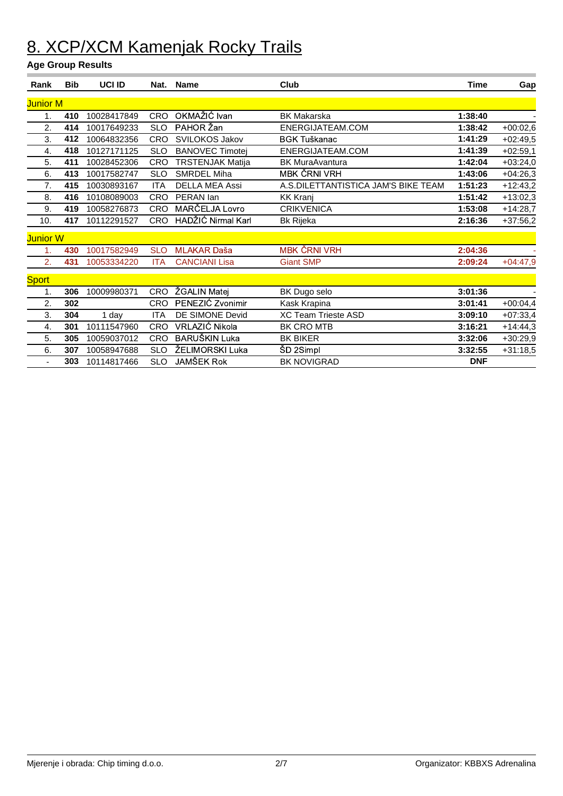| Rank            | <b>Bib</b> | <b>UCI ID</b> | Nat.       | <b>Name</b>             | Club                                | <b>Time</b> | Gap        |
|-----------------|------------|---------------|------------|-------------------------|-------------------------------------|-------------|------------|
| <b>Junior M</b> |            |               |            |                         |                                     |             |            |
| 1.              | 410        | 10028417849   | <b>CRO</b> | OKMAŽIĆ Ivan            | <b>BK Makarska</b>                  | 1:38:40     |            |
| 2.              | 414        | 10017649233   | <b>SLO</b> | PAHOR Žan               | ENERGIJATEAM.COM                    | 1:38:42     | $+00:02,6$ |
| 3.              | 412        | 10064832356   | <b>CRO</b> | SVILOKOS Jakov          | <b>BGK Tuškanac</b>                 | 1:41:29     | $+02:49,5$ |
| 4.              | 418        | 10127171125   | <b>SLO</b> | <b>BANOVEC Timotej</b>  | ENERGIJATEAM.COM                    | 1:41:39     | $+02:59,1$ |
| 5.              | 411        | 10028452306   | <b>CRO</b> | <b>TRSTENJAK Matija</b> | <b>BK MuraAvantura</b>              | 1:42:04     | $+03:24,0$ |
| 6.              | 413        | 10017582747   | <b>SLO</b> | <b>SMRDEL Miha</b>      | <b>MBK ČRNI VRH</b>                 | 1:43:06     | $+04:26,3$ |
| 7.              | 415        | 10030893167   | <b>ITA</b> | DELLA MEA Assi          | A.S.DILETTANTISTICA JAM'S BIKE TEAM | 1:51:23     | $+12:43,2$ |
| 8.              | 416        | 10108089003   | <b>CRO</b> | PERAN lan               | <b>KK Kranj</b>                     | 1:51:42     | $+13:02,3$ |
| 9.              | 419        | 10058276873   | <b>CRO</b> | MARČELJA Lovro          | <b>CRIKVENICA</b>                   | 1:53:08     | $+14:28,7$ |
| 10.             | 417        | 10112291527   | <b>CRO</b> | HADŽIĆ Nirmal Karl      | <b>Bk Rijeka</b>                    | 2:16:36     | $+37:56,2$ |
| Junior W        |            |               |            |                         |                                     |             |            |
| 1.              | 430        | 10017582949   | <b>SLO</b> | <b>MLAKAR Daša</b>      | <b>MBK ČRNI VRH</b>                 | 2:04:36     |            |
| 2.              | 431        | 10053334220   | <b>ITA</b> | <b>CANCIANI Lisa</b>    | <b>Giant SMP</b>                    | 2:09:24     | $+04:47,9$ |
| <b>Sport</b>    |            |               |            |                         |                                     |             |            |
| 1.              | 306        | 10009980371   | <b>CRO</b> | ŽGALIN Matej            | BK Dugo selo                        | 3:01:36     |            |
| 2.              | 302        |               | <b>CRO</b> | PENEZIĆ Zvonimir        | Kask Krapina                        | 3:01:41     | $+00:04,4$ |
| 3.              | 304        | 1 day         | <b>ITA</b> | DE SIMONE Devid         | <b>XC Team Trieste ASD</b>          | 3:09:10     | $+07:33,4$ |
| 4.              | 301        | 10111547960   | <b>CRO</b> | VRLAZIĆ Nikola          | BK CRO MTB                          | 3:16:21     | $+14:44,3$ |
| 5.              | 305        | 10059037012   | <b>CRO</b> | <b>BARUŠKIN Luka</b>    | <b>BK BIKER</b>                     | 3:32:06     | $+30:29,9$ |
| 6.              | 307        | 10058947688   | <b>SLO</b> | ŽELIMORSKI Luka         | ŠD 2Simpl                           | 3:32:55     | $+31:18,5$ |
| $\blacksquare$  | 303        | 10114817466   | <b>SLO</b> | <b>JAMŠEK Rok</b>       | <b>BK NOVIGRAD</b>                  | <b>DNF</b>  |            |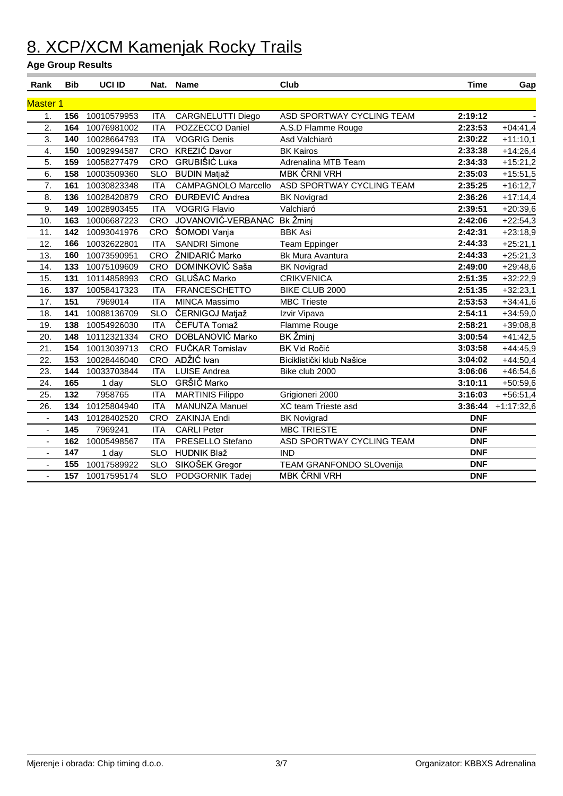| Rank            | <b>Bib</b> | UCI ID      | Nat.       | <b>Name</b>                | Club                      | <b>Time</b> | Gap          |
|-----------------|------------|-------------|------------|----------------------------|---------------------------|-------------|--------------|
| <b>Master 1</b> |            |             |            |                            |                           |             |              |
| 1.              | 156        | 10010579953 | <b>ITA</b> | CARGNELUTTI Diego          | ASD SPORTWAY CYCLING TEAM | 2:19:12     |              |
| 2.              | 164        | 10076981002 | <b>ITA</b> | POZZECCO Daniel            | A.S.D Flamme Rouge        | 2:23:53     | $+04:41,4$   |
| 3.              | 140        | 10028664793 | <b>ITA</b> | <b>VOGRIG Denis</b>        | Asd Valchiarò             | 2:30:22     | $+11:10,1$   |
| 4.              | 150        | 10092994587 | CRO        | <b>KREZIĆ Davor</b>        | <b>BK Kairos</b>          | 2:33:38     | $+14:26,4$   |
| 5.              | 159        | 10058277479 | CRO        | <b>GRUBIŠIĆ Luka</b>       | Adrenalina MTB Team       | 2:34:33     | $+15:21,2$   |
| 6.              | 158        | 10003509360 | <b>SLO</b> | <b>BUDIN Matjaž</b>        | <b>MBK ČRNI VRH</b>       | 2:35:03     | $+15:51,5$   |
| 7.              | 161        | 10030823348 | <b>ITA</b> | <b>CAMPAGNOLO Marcello</b> | ASD SPORTWAY CYCLING TEAM | 2:35:25     | $+16:12,7$   |
| 8.              | 136        | 10028420879 | CRO        | <b>ĐURĐEVIĆ Andrea</b>     | <b>BK Novigrad</b>        | 2:36:26     | $+17:14,4$   |
| 9.              | 149        | 10028903455 | <b>ITA</b> | <b>VOGRIG Flavio</b>       | Valchiaró                 | 2:39:51     | $+20:39,6$   |
| 10.             | 163        | 10006687223 | <b>CRO</b> | JOVANOVIĆ-VERBANAC         | Bk Žminj                  | 2:42:06     | $+22:54,3$   |
| 11.             | 142        | 10093041976 | CRO        | ŠOMOĐI Vanja               | <b>BBK Asi</b>            | 2:42:31     | $+23:18,9$   |
| 12.             | 166        | 10032622801 | <b>ITA</b> | <b>SANDRI Simone</b>       | <b>Team Eppinger</b>      | 2:44:33     | $+25:21,1$   |
| 13.             | 160        | 10073590951 | CRO        | ŽNIDARIĆ Marko             | Bk Mura Avantura          | 2:44:33     | $+25:21,3$   |
| 14.             | 133        | 10075109609 | CRO        | DOMINKOVIĆ Saša            | <b>BK Novigrad</b>        | 2:49:00     | $+29:48,6$   |
| 15.             | 131        | 10114858993 | CRO        | <b>GLUŠAC Marko</b>        | <b>CRIKVENICA</b>         | 2:51:35     | $+32:22,9$   |
| 16.             | 137        | 10058417323 | <b>ITA</b> | <b>FRANCESCHETTO</b>       | BIKE CLUB 2000            | 2:51:35     | $+32:23,1$   |
| 17.             | 151        | 7969014     | <b>ITA</b> | <b>MINCA Massimo</b>       | <b>MBC Trieste</b>        | 2:53:53     | $+34:41,6$   |
| 18.             | 141        | 10088136709 | <b>SLO</b> | ČERNIGOJ Matjaž            | Izvir Vipava              | 2:54:11     | $+34:59,0$   |
| 19.             | 138        | 10054926030 | <b>ITA</b> | ČEFUTA Tomaž               | Flamme Rouge              | 2:58:21     | $+39:08,8$   |
| 20.             | 148        | 10112321334 | <b>CRO</b> | DOBLANOVIĆ Marko           | <b>BK Žminj</b>           | 3:00:54     | $+41:42,5$   |
| 21.             | 154        | 10013039713 | <b>CRO</b> | FUČKAR Tomislav            | <b>BK Vid Ročić</b>       | 3:03:58     | $+44:45,9$   |
| 22.             | 153        | 10028446040 | <b>CRO</b> | ADŽIĆ Ivan                 | Biciklistički klub Našice | 3:04:02     | $+44:50,4$   |
| 23.             | 144        | 10033703844 | <b>ITA</b> | <b>LUISE Andrea</b>        | Bike club 2000            | 3:06:06     | $+46:54,6$   |
| 24.             | 165        | 1 day       | <b>SLO</b> | GRŠIČ Marko                |                           | 3:10:11     | +50:59,6     |
| 25.             | 132        | 7958765     | <b>ITA</b> | <b>MARTINIS Filippo</b>    | Grigioneri 2000           | 3:16:03     | $+56:51,4$   |
| 26.             | 134        | 10125804940 | <b>ITA</b> | <b>MANUNZA Manuel</b>      | XC team Trieste asd       | 3:36:44     | $+1:17:32,6$ |
| $\blacksquare$  | 143        | 10128402520 | CRO        | ZAKINJA Endi               | <b>BK Novigrad</b>        | <b>DNF</b>  |              |
| $\blacksquare$  | 145        | 7969241     | <b>ITA</b> | <b>CARLI Peter</b>         | <b>MBC TRIESTE</b>        | <b>DNF</b>  |              |
| $\blacksquare$  | 162        | 10005498567 | <b>ITA</b> | PRESELLO Stefano           | ASD SPORTWAY CYCLING TEAM | <b>DNF</b>  |              |
| $\overline{a}$  | 147        | 1 day       | <b>SLO</b> | <b>HUDNIK Blaž</b>         | <b>IND</b>                | <b>DNF</b>  |              |
| ÷,              | 155        | 10017589922 | <b>SLO</b> | SIKOŠEK Gregor             | TEAM GRANFONDO SLOvenija  | <b>DNF</b>  |              |
|                 | 157        | 10017595174 | <b>SLO</b> | PODGORNIK Tadej            | <b>MBK ČRNI VRH</b>       | <b>DNF</b>  |              |
|                 |            |             |            |                            |                           |             |              |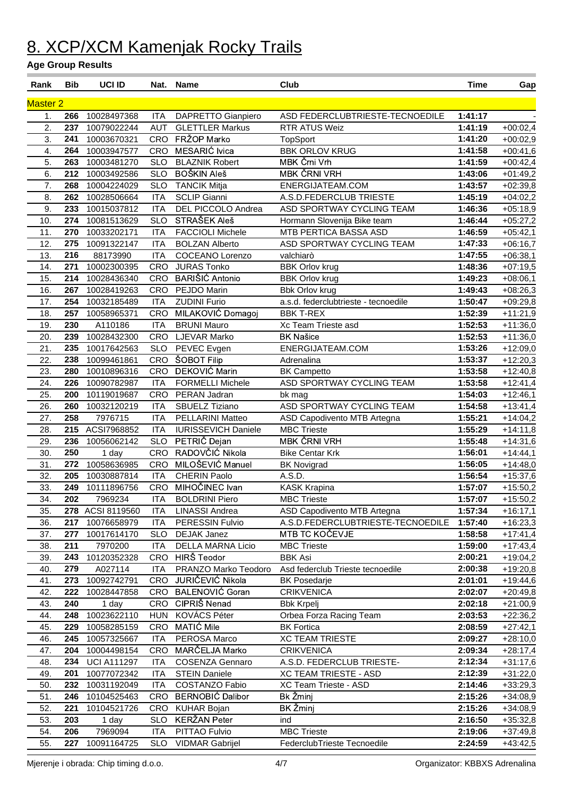| Rank            | <b>Bib</b> | <b>UCI ID</b>      | Nat.       | <b>Name</b>                | Club                                 | <b>Time</b> | Gap        |
|-----------------|------------|--------------------|------------|----------------------------|--------------------------------------|-------------|------------|
| <b>Master 2</b> |            |                    |            |                            |                                      |             |            |
| 1.              | 266        | 10028497368        | <b>ITA</b> | DAPRETTO Gianpiero         | ASD FEDERCLUBTRIESTE-TECNOEDILE      | 1:41:17     |            |
| 2.              | 237        | 10079022244        | <b>AUT</b> | <b>GLETTLER Markus</b>     | RTR ATUS Weiz                        | 1:41:19     | $+00:02,4$ |
| 3.              | 241        | 10003670321        | CRO        | FRŽOP Marko                | <b>TopSport</b>                      | 1:41:20     | $+00:02,9$ |
| 4.              | 264        | 10003947577        | <b>CRO</b> | MESARIĆ Ivica              | <b>BBK ORLOV KRUG</b>                | 1:41:58     | $+00:41,6$ |
| 5.              | 263        | 10003481270        | <b>SLO</b> | <b>BLAZNIK Robert</b>      | MBK Črni Vrh                         | 1:41:59     | $+00:42,4$ |
| 6.              | 212        | 10003492586        | <b>SLO</b> | <b>BOŠKIN Aleš</b>         | <b>MBK ČRNI VRH</b>                  | 1:43:06     | $+01:49,2$ |
| 7.              | 268        | 10004224029        | <b>SLO</b> | <b>TANCIK Mitja</b>        | ENERGIJATEAM.COM                     | 1:43:57     | $+02:39,8$ |
| 8.              | 262        | 10028506664        | <b>ITA</b> | <b>SCLIP Gianni</b>        | A.S.D.FEDERCLUB TRIESTE              | 1:45:19     | $+04:02,2$ |
| 9.              | 233        | 10015037812        | <b>ITA</b> | DEL PICCOLO Andrea         | ASD SPORTWAY CYCLING TEAM            | 1:46:36     | $+05:18,9$ |
| 10.             | 274        | 10081513629        | <b>SLO</b> | STRAŠEK Aleš               | Hormann Slovenija Bike team          | 1:46:44     | $+05:27,2$ |
| 11.             | 270        | 10033202171        | <b>ITA</b> | <b>FACCIOLI Michele</b>    | MTB PERTICA BASSA ASD                | 1:46:59     | $+05:42,1$ |
| 12.             | 275        | 10091322147        | <b>ITA</b> | <b>BOLZAN Alberto</b>      | ASD SPORTWAY CYCLING TEAM            | 1:47:33     | $+06:16,7$ |
| 13.             | 216        | 88173990           | <b>ITA</b> | <b>COCEANO Lorenzo</b>     | valchiarò                            | 1:47:55     | $+06:38,1$ |
| 14.             | 271        | 10002300395        | <b>CRO</b> | <b>JURAS Tonko</b>         | <b>BBK Orlov krug</b>                | 1:48:36     | $+07:19,5$ |
| 15.             | 214        | 10028436340        | <b>CRO</b> | BARIŠIĆ Antonio            | <b>BBK Orlov krug</b>                | 1:49:23     | $+08:06,1$ |
| 16.             | 267        | 10028419263        | CRO        | PEJDO Marin                | <b>Bbk Orlov krug</b>                | 1:49:43     | $+08:26,3$ |
| 17.             | 254        | 10032185489        | <b>ITA</b> | <b>ZUDINI Furio</b>        | a.s.d. federclubtrieste - tecnoedile | 1:50:47     | $+09:29,8$ |
| 18.             | 257        | 10058965371        | CRO        | MILAKOVIĆ Domagoj          | <b>BBK T-REX</b>                     | 1:52:39     | $+11:21,9$ |
| 19.             | 230        | A110186            | <b>ITA</b> | <b>BRUNI Mauro</b>         | Xc Team Trieste asd                  | 1:52:53     | $+11:36,0$ |
| 20.             | 239        | 10028432300        | CRO        | LJEVAR Marko               | <b>BK Našice</b>                     | 1:52:53     | $+11:36,0$ |
| 21.             | 235        | 10017642563        | <b>SLO</b> | PEVEC Evgen                | ENERGIJATEAM.COM                     | 1:53:26     | $+12:09,0$ |
| 22.             | 238        | 10099461861        | CRO        | ŠOBOT Filip                | Adrenalina                           | 1:53:37     | $+12:20,3$ |
| 23.             | 280        | 10010896316        | CRO        | DEKOVIĆ Marin              | <b>BK Campetto</b>                   | 1:53:58     | $+12:40,8$ |
| 24.             | 226        | 10090782987        | <b>ITA</b> | <b>FORMELLI Michele</b>    | ASD SPORTWAY CYCLING TEAM            | 1:53:58     | $+12:41,4$ |
| 25.             | 200        | 10119019687        | <b>CRO</b> | PERAN Jadran               | bk mag                               | 1:54:03     | $+12:46,1$ |
| 26.             | 260        | 10032120219        | <b>ITA</b> | SBUELZ Tiziano             | ASD SPORTWAY CYCLING TEAM            | 1:54:58     | $+13:41,4$ |
| 27.             | 258        | 7976715            | <b>ITA</b> | PELLARINI Matteo           | ASD Capodivento MTB Artegna          | 1:55:21     | $+14:04,2$ |
| 28.             | 215        | ACSI7968852        | <b>ITA</b> | <b>IURISSEVICH Daniele</b> | <b>MBC Trieste</b>                   | 1:55:29     | $+14:11,8$ |
| 29.             | 236        | 10056062142        | <b>SLO</b> | PETRIČ Dejan               | <b>MBK ČRNI VRH</b>                  | 1:55:48     | $+14:31,6$ |
| 30.             | 250        | 1 day              | <b>CRO</b> | RADOVČIĆ Nikola            | <b>Bike Centar Krk</b>               | 1:56:01     | $+14:44,1$ |
| 31.             | 272        | 10058636985        | <b>CRO</b> | MILOŠEVIĆ Manuel           | <b>BK Novigrad</b>                   | 1:56:05     | $+14:48,0$ |
| 32.             | 205        | 10030887814        | <b>ITA</b> | <b>CHERIN Paolo</b>        | A.S.D.                               | 1:56:54     | $+15:37,6$ |
| 33.             | 249        | 10111896756        | CRO        | MIHOČINEC Ivan             | <b>KASK Krapina</b>                  | 1:57:07     | $+15:50,2$ |
| 34.             | 202        | 7969234            | ITA        | <b>BOLDRINI Piero</b>      | <b>MBC Trieste</b>                   | 1:57:07     | $+15:50,2$ |
| 35.             |            | 278 ACSI 8119560   | <b>ITA</b> | <b>LINASSI Andrea</b>      | ASD Capodivento MTB Artegna          | 1:57:34     | $+16:17,1$ |
| 36.             | 217        | 10076658979        | <b>ITA</b> | PERESSIN Fulvio            | A.S.D.FEDERCLUBTRIESTE-TECNOEDILE    | 1:57:40     | $+16:23,3$ |
| 37.             | 277        | 10017614170        | <b>SLO</b> | <b>DEJAK Janez</b>         | MTB TC KOČEVJE                       | 1:58:58     | $+17:41,4$ |
| 38.             | 211        | 7970200            | <b>ITA</b> | DELLA MARNA Licio          | <b>MBC Trieste</b>                   | 1:59:00     | $+17:43,4$ |
| 39.             | 243        | 10120352328        | CRO        | HIRŠ Teodor                | <b>BBK Asi</b>                       | 2:00:21     | $+19:04,2$ |
| 40.             | 279        | A027114            | <b>ITA</b> | PRANZO Marko Teodoro       | Asd federclub Trieste tecnoedile     | 2:00:38     | $+19:20,8$ |
| 41.             | 273        | 10092742791        | CRO        | JURIČEVIĆ Nikola           | <b>BK Posedarje</b>                  | 2:01:01     | $+19:44,6$ |
| 42.             | 222        | 10028447858        | <b>CRO</b> | BALENOVIĆ Goran            | <b>CRIKVENICA</b>                    | 2:02:07     | $+20:49,8$ |
| 43.             | 240        | 1 day              | CRO        | CIPRIŠ Nenad               | <b>Bbk Krpelj</b>                    | 2:02:18     | $+21:00,9$ |
| 44.             | 248        | 10023622110        | <b>HUN</b> | KOVÁCS Péter               | Orbea Forza Racing Team              | 2:03:53     | $+22:36,2$ |
| 45.             | 229        | 10058285159        | CRO        | MATIĆ Mile                 | <b>BK Fortica</b>                    | 2:08:59     | $+27:42,1$ |
| 46.             | 245        | 10057325667        | <b>ITA</b> | PEROSA Marco               | <b>XC TEAM TRIESTE</b>               | 2:09:27     | $+28:10,0$ |
| 47.             | 204        | 10004498154        | <b>CRO</b> | MARČELJA Marko             | <b>CRIKVENICA</b>                    | 2:09:34     | $+28:17,4$ |
| 48.             | 234        | <b>UCI A111297</b> | <b>ITA</b> | <b>COSENZA Gennaro</b>     | A.S.D. FEDERCLUB TRIESTE-            | 2:12:34     | +31:17,6   |
| 49.             | 201        | 10077072342        | <b>ITA</b> | <b>STEIN Daniele</b>       | <b>XC TEAM TRIESTE - ASD</b>         | 2:12:39     | $+31:22,0$ |
| 50.             | 232        | 10031192049        | <b>ITA</b> | COSTANZO Fabio             | XC Team Trieste - ASD                | 2:14:46     | $+33:29,3$ |
| 51.             | 246        | 10104525463        | <b>CRO</b> | <b>BERNOBIĆ Dalibor</b>    | Bk Žminj                             | 2:15:26     | $+34:08,9$ |
| 52.             | 221        | 10104521726        | CRO        | <b>KUHAR Bojan</b>         | BK Žminj                             | 2:15:26     | $+34:08,9$ |
| 53.             | 203        | 1 day              | <b>SLO</b> | <b>KERŽAN Peter</b>        | ind<br><b>MBC Trieste</b>            | 2:16:50     | $+35:32,8$ |
| 54.             | 206        | 7969094            | <b>ITA</b> | PITTAO Fulvio              |                                      | 2:19:06     | $+37:49,8$ |
| 55.             | 227        | 10091164725        | <b>SLO</b> | <b>VIDMAR Gabrijel</b>     | FederclubTrieste Tecnoedile          | 2:24:59     | +43:42,5   |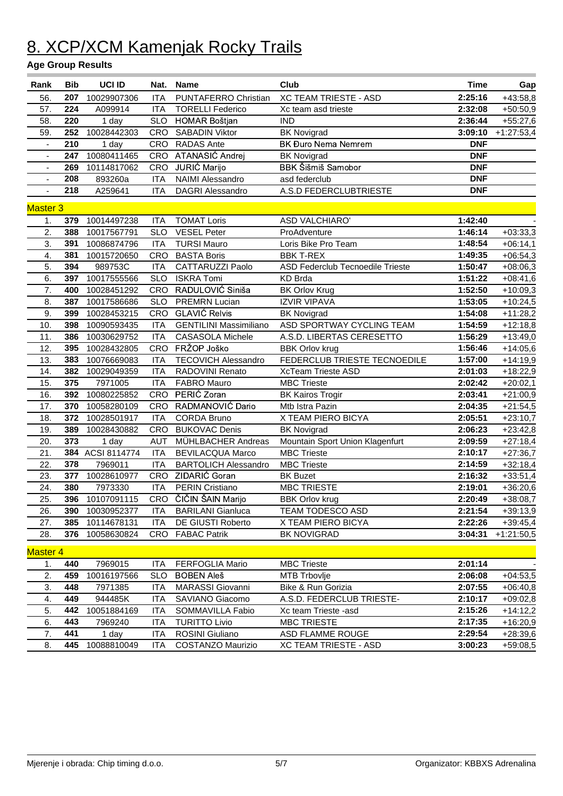| Rank                     | <b>Bib</b> | <b>UCI ID</b>   | Nat.       | <b>Name</b>                   | Club                                    | <b>Time</b> | Gap          |
|--------------------------|------------|-----------------|------------|-------------------------------|-----------------------------------------|-------------|--------------|
| 56.                      | 207        | 10029907306     | <b>ITA</b> | PUNTAFERRO Christian          | <b>XC TEAM TRIESTE - ASD</b>            | 2:25:16     | $+43:58,8$   |
| 57.                      | 224        | A099914         | <b>ITA</b> | <b>TORELLI Federico</b>       | Xc team asd trieste                     | 2:32:08     | $+50:50,9$   |
| 58.                      | 220        | 1 day           | <b>SLO</b> | <b>HOMAR Boštjan</b>          | <b>IND</b>                              | 2:36:44     | $+55:27,6$   |
| 59.                      | 252        | 10028442303     | CRO        | <b>SABADIN Viktor</b>         | <b>BK Novigrad</b>                      | 3:09:10     | $+1:27:53,4$ |
| $\blacksquare$           | 210        | 1 day           | <b>CRO</b> | <b>RADAS Ante</b>             | <b>BK Đuro Nema Nemrem</b>              | <b>DNF</b>  |              |
| $\blacksquare$           | 247        | 10080411465     | <b>CRO</b> | ATANASIĆ Andrej               | <b>BK Novigrad</b>                      | <b>DNF</b>  |              |
| ÷,                       | 269        | 10114817062     | <b>CRO</b> | JURIĆ Marijo                  | BBK Šišmiš Samobor                      | <b>DNF</b>  |              |
| $\overline{\phantom{a}}$ | 208        | 893260a         | <b>ITA</b> | <b>NAIMI Alessandro</b>       | asd federclub                           | <b>DNF</b>  |              |
| $\blacksquare$           | 218        | A259641         | <b>ITA</b> | <b>DAGRI Alessandro</b>       | A.S.D FEDERCLUBTRIESTE                  | <b>DNF</b>  |              |
| <b>Master 3</b>          |            |                 |            |                               |                                         |             |              |
| 1.                       | 379        | 10014497238     | <b>ITA</b> | <b>TOMAT Loris</b>            | <b>ASD VALCHIARO'</b>                   | 1:42:40     |              |
| 2.                       | 388        | 10017567791     | <b>SLO</b> | <b>VESEL Peter</b>            | ProAdventure                            | 1:46:14     | $+03:33,3$   |
| 3.                       | 391        | 10086874796     | <b>ITA</b> | <b>TURSI Mauro</b>            | Loris Bike Pro Team                     | 1:48:54     | $+06:14,1$   |
| $\overline{4}$ .         | 381        | 10015720650     | <b>CRO</b> | <b>BASTA Boris</b>            | <b>BBK T-REX</b>                        | 1:49:35     | $+06:54,3$   |
| 5.                       | 394        | 989753C         | <b>ITA</b> | CATTARUZZI Paolo              | <b>ASD Federclub Tecnoedile Trieste</b> | 1:50:47     | $+08:06,3$   |
| 6.                       | 397        | 10017555566     | <b>SLO</b> | <b>ISKRA Tomi</b>             | <b>KD Brda</b>                          | 1:51:22     | $+08:41,6$   |
| 7.                       | 400        | 10028451292     | <b>CRO</b> | RADULOVIĆ Siniša              | <b>BK Orlov Krug</b>                    | 1:52:50     | $+10:09,3$   |
| 8.                       | 387        | 10017586686     | <b>SLO</b> | <b>PREMRN Lucian</b>          | <b>IZVIR VIPAVA</b>                     | 1:53:05     | $+10:24,5$   |
| 9.                       | 399        | 10028453215     | <b>CRO</b> | <b>GLAVIĆ Relvis</b>          | <b>BK Novigrad</b>                      | 1:54:08     | $+11:28,2$   |
| 10.                      | 398        | 10090593435     | <b>ITA</b> | <b>GENTILINI Massimiliano</b> | ASD SPORTWAY CYCLING TEAM               | 1:54:59     | $+12:18,8$   |
| 11.                      | 386        | 10030629752     | <b>ITA</b> | <b>CASASOLA Michele</b>       | A.S.D. LIBERTAS CERESETTO               | 1:56:29     | $+13:49,0$   |
| 12.                      | 395        | 10028432805     | <b>CRO</b> | FRŽOP Joško                   | <b>BBK Orlov krug</b>                   | 1:56:46     | $+14:05,6$   |
| 13.                      | 383        | 10076669083     | <b>ITA</b> | <b>TECOVICH Alessandro</b>    | FEDERCLUB TRIESTE TECNOEDILE            | 1:57:00     | $+14:19,9$   |
| 14.                      | 382        | 10029049359     | ITA        | RADOVINI Renato               | <b>XcTeam Trieste ASD</b>               | 2:01:03     | $+18:22,9$   |
| 15.                      | 375        | 7971005         | <b>ITA</b> | <b>FABRO Mauro</b>            | <b>MBC Trieste</b>                      | 2:02:42     | $+20:02,1$   |
| 16.                      | 392        | 10080225852     | <b>CRO</b> | PERIĆ Zoran                   | <b>BK Kairos Trogir</b>                 | 2:03:41     | $+21:00,9$   |
| 17.                      | 370        | 10058280109     | <b>CRO</b> | RADMANOVIĆ Dario              | Mtb Istra Pazin                         | 2:04:35     | $+21:54,5$   |
| 18.                      | 372        | 10028501917     | <b>ITA</b> | <b>CORDA Bruno</b>            | X TEAM PIERO BICYA                      | 2:05:51     | $+23:10,7$   |
| 19.                      | 389        | 10028430882     | CRO        | <b>BUKOVAC Denis</b>          | <b>BK Novigrad</b>                      | 2:06:23     | $+23:42,8$   |
| 20.                      | 373        | 1 day           | <b>AUT</b> | MÜHLBACHER Andreas            | Mountain Sport Union Klagenfurt         | 2:09:59     | $+27:18,4$   |
| 21.                      | 384        | ACSI 8114774    | <b>ITA</b> | <b>BEVILACQUA Marco</b>       | <b>MBC Trieste</b>                      | 2:10:17     | $+27:36,7$   |
| 22.                      | 378        | 7969011         | <b>ITA</b> | <b>BARTOLICH Alessandro</b>   | <b>MBC Trieste</b>                      | 2:14:59     | $+32:18,4$   |
| 23.                      | 377        | 10028610977     | CRO        | ZIDARIĆ Goran                 | <b>BK Buzet</b>                         | 2:16:32     | $+33:51,4$   |
| 24.                      | 380        | 7973330         | <b>ITA</b> | <b>PERIN Cristiano</b>        | <b>MBC TRIESTE</b>                      | 2:19:01     | $+36:20,6$   |
| 25.                      |            | 396 10107091115 |            | CRO ČIČIN ŠAIN Marijo         | <b>BBK Orlov krug</b>                   | 2:20:49     | $+38:08,7$   |
| 26.                      | 390        | 10030952377     | ITA.       | <b>BARILANI Gianluca</b>      | TEAM TODESCO ASD                        | 2:21:54     | $+39:13,9$   |
| 27.                      | 385        | 10114678131     | ITA.       | DE GIUSTI Roberto             | X TEAM PIERO BICYA                      | 2:22:26     | $+39:45,4$   |
| 28.                      | 376        | 10058630824     |            | CRO FABAC Patrik              | <b>BK NOVIGRAD</b>                      | 3:04:31     | $+1:21:50,5$ |
| <b>Master 4</b>          |            |                 |            |                               |                                         |             |              |
| 1.                       | 440        | 7969015         | <b>ITA</b> | <b>FERFOGLIA Mario</b>        | <b>MBC Trieste</b>                      | 2:01:14     |              |
| 2.                       | 459        | 10016197566     | <b>SLO</b> | <b>BOBEN Aleš</b>             | MTB Trbovlje                            | 2:06:08     | $+04:53,5$   |
| 3.                       | 448        | 7971385         | <b>ITA</b> | MARASSI Giovanni              | Bike & Run Gorizia                      | 2:07:55     | $+06:40,8$   |
| 4.                       | 449        | 944485K         | <b>ITA</b> | SAVIANO Giacomo               | A.S.D. FEDERCLUB TRIESTE-               | 2:10:17     | $+09:02,8$   |
| 5.                       | 442        | 10051884169     | <b>ITA</b> | SOMMAVILLA Fabio              | Xc team Trieste -asd                    | 2:15:26     | $+14:12,2$   |
| 6.                       | 443        | 7969240         | <b>ITA</b> | <b>TURITTO Livio</b>          | <b>MBC TRIESTE</b>                      | 2:17:35     | $+16:20,9$   |
| 7.                       | 441        | 1 day           | <b>ITA</b> | ROSINI Giuliano               | ASD FLAMME ROUGE                        | 2:29:54     | $+28:39,6$   |
| 8.                       | 445        | 10088810049     | <b>ITA</b> | <b>COSTANZO Maurizio</b>      | <b>XC TEAM TRIESTE - ASD</b>            | 3:00:23     | $+59:08,5$   |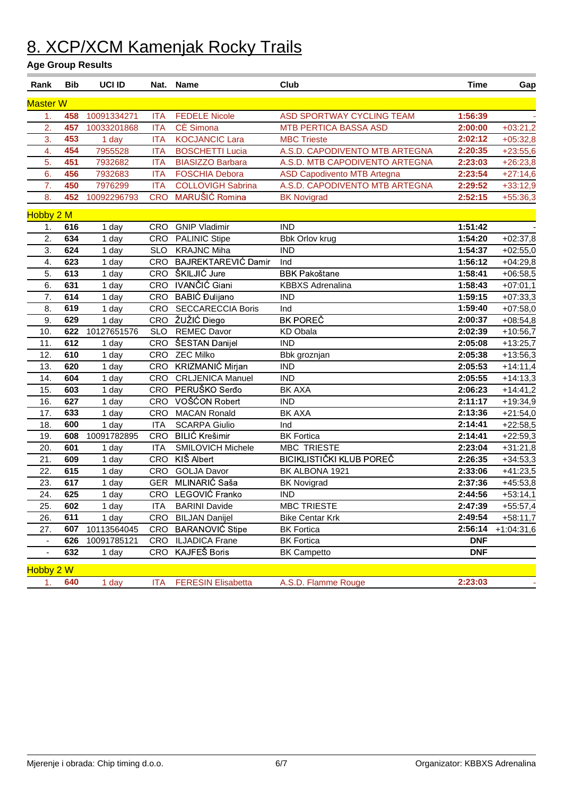| Rank             | <b>Bib</b> | <b>UCI ID</b> | Nat.       | <b>Name</b>                | Club                               | <b>Time</b> | Gap          |
|------------------|------------|---------------|------------|----------------------------|------------------------------------|-------------|--------------|
| <b>Master W</b>  |            |               |            |                            |                                    |             |              |
| $\mathbf{1}$ .   | 458        | 10091334271   | <b>ITA</b> | <b>FEDELE Nicole</b>       | <b>ASD SPORTWAY CYCLING TEAM</b>   | 1:56:39     |              |
| $\overline{2}$ . | 457        | 10033201868   | <b>ITA</b> | CÈ Simona                  | <b>MTB PERTICA BASSA ASD</b>       | 2:00:00     | $+03:21,2$   |
| 3.               | 453        | 1 day         | <b>ITA</b> | <b>KOCJANCIC Lara</b>      | <b>MBC Trieste</b>                 | 2:02:12     | $+05:32,8$   |
| 4.               | 454        | 7955528       | <b>ITA</b> | <b>BOSCHETTI Lucia</b>     | A.S.D. CAPODIVENTO MTB ARTEGNA     | 2:20:35     | $+23:55,6$   |
| 5.               | 451        | 7932682       | <b>ITA</b> | <b>BIASIZZO Barbara</b>    | A.S.D. MTB CAPODIVENTO ARTEGNA     | 2:23:03     | $+26:23,8$   |
| 6.               | 456        | 7932683       | <b>ITA</b> | <b>FOSCHIA Debora</b>      | <b>ASD Capodivento MTB Artegna</b> | 2:23:54     | $+27:14,6$   |
| 7.               | 450        | 7976299       | <b>ITA</b> | <b>COLLOVIGH Sabrina</b>   | A.S.D. CAPODIVENTO MTB ARTEGNA     | 2:29:52     | $+33:12,9$   |
| 8.               | 452        | 10092296793   | <b>CRO</b> | MARUŠIĆ Romina             | <b>BK Novigrad</b>                 | 2:52:15     | $+55:36,3$   |
| Hobby 2 M        |            |               |            |                            |                                    |             |              |
| 1.               | 616        | 1 day         | CRO        | <b>GNIP Vladimir</b>       | <b>IND</b>                         | 1:51:42     |              |
| $\overline{2}$ . | 634        | 1 day         | CRO        | <b>PALINIC Stipe</b>       | <b>Bbk Orlov krug</b>              | 1:54:20     | $+02:37,8$   |
| 3.               | 624        | 1 day         | <b>SLO</b> | <b>KRAJNC Miha</b>         | <b>IND</b>                         | 1:54:37     | $+02:55,0$   |
| 4.               | 623        | 1 day         | CRO        | <b>BAJREKTAREVIĆ Damir</b> | Ind                                | 1:56:12     | $+04:29,8$   |
| 5.               | 613        | 1 day         | CRO        | ŠKILJIĆ Jure               | <b>BBK Pakoštane</b>               | 1:58:41     | $+06:58,5$   |
| 6.               | 631        | 1 day         | CRO        | IVANČIĆ Giani              | <b>KBBXS Adrenalina</b>            | 1:58:43     | $+07:01,1$   |
| 7.               | 614        | 1 day         | CRO        | BABIĆ Đulijano             | <b>IND</b>                         | 1:59:15     | $+07:33,3$   |
| 8.               | 619        | 1 day         | CRO        | <b>SECCARECCIA Boris</b>   | Ind                                | 1:59:40     | $+07:58,0$   |
| 9.               | 629        | 1 day         | CRO        | ŽUŽIĆ Diego                | <b>BK POREČ</b>                    | 2:00:37     | $+08:54,8$   |
| 10.              | 622        | 10127651576   | <b>SLO</b> | <b>REMEC Davor</b>         | KD Obala                           | 2:02:39     | $+10:56,7$   |
| 11.              | 612        | 1 day         | CRO        | ŠESTAN Danijel             | <b>IND</b>                         | 2:05:08     | $+13:25,7$   |
| 12.              | 610        | 1 day         | CRO        | <b>ZEC Milko</b>           | Bbk groznjan                       | 2:05:38     | $+13:56,3$   |
| 13.              | 620        | 1 day         | CRO        | KRIZMANIĆ Mirjan           | <b>IND</b>                         | 2:05:53     | $+14:11,4$   |
| 14.              | 604        | 1 day         | CRO        | <b>CRLJENICA Manuel</b>    | <b>IND</b>                         | 2:05:55     | $+14:13,3$   |
| 15.              | 603        | 1 day         | CRO        | PERUŠKO Serđo              | <b>BK AXA</b>                      | 2:06:23     | $+14:41,2$   |
| 16.              | 627        | 1 day         | CRO        | VOŠĆON Robert              | <b>IND</b>                         | 2:11:17     | $+19:34,9$   |
| 17.              | 633        | 1 day         | CRO        | <b>MACAN Ronald</b>        | <b>BK AXA</b>                      | 2:13:36     | $+21:54,0$   |
| 18.              | 600        | 1 day         | <b>ITA</b> | <b>SCARPA Giulio</b>       | Ind                                | 2:14:41     | $+22:58,5$   |
| 19.              | 608        | 10091782895   | CRO        | <b>BILIĆ Krešimir</b>      | <b>BK Fortica</b>                  | 2:14:41     | $+22:59,3$   |
| 20.              | 601        | $1$ day       | <b>ITA</b> | <b>SMILOVICH Michele</b>   | <b>MBC TRIESTE</b>                 | 2:23:04     | $+31:21,8$   |
| 21.              | 609        | 1 day         | CRO        | KIŠ Albert                 | BICIKLISTIČKI KLUB POREČ           | 2:26:35     | $+34:53,3$   |
| 22.              | 615        | 1 day         | CRO        | <b>GOLJA Davor</b>         | BK ALBONA 1921                     | 2:33:06     | $+41:23,5$   |
| 23.              | 617        | 1 day         | <b>GER</b> | MLINARIĆ Saša              | <b>BK Novigrad</b>                 | 2:37:36     | $+45:53,8$   |
| 24.              | 625        | 1 day         | <b>CRO</b> | LEGOVIĆ Franko             | <b>IND</b>                         | 2:44:56     | $+53:14,1$   |
| 25.              | 602        | 1 day         | ITA        | <b>BARINI Davide</b>       | <b>MBC TRIESTE</b>                 | 2:47:39     | $+55:57,4$   |
| 26.              | 611        | 1 day         | CRO        | <b>BILJAN Danijel</b>      | <b>Bike Centar Krk</b>             | 2:49:54     | $+58:11,7$   |
| 27.              | 607        | 10113564045   | CRO        | <b>BARANOVIĆ Stipe</b>     | <b>BK Fortica</b>                  | 2:56:14     | $+1:04:31,6$ |
|                  | 626        | 10091785121   | CRO        | <b>ILJADICA Frane</b>      | <b>BK Fortica</b>                  | <b>DNF</b>  |              |
|                  | 632        | 1 day         | CRO        | <b>KAJFEŠ Boris</b>        | <b>BK Campetto</b>                 | <b>DNF</b>  |              |
| Hobby 2 W        |            |               |            |                            |                                    |             |              |
| 1.               | 640        | 1 day         | <b>ITA</b> | <b>FERESIN Elisabetta</b>  | A.S.D. Flamme Rouge                | 2:23:03     |              |